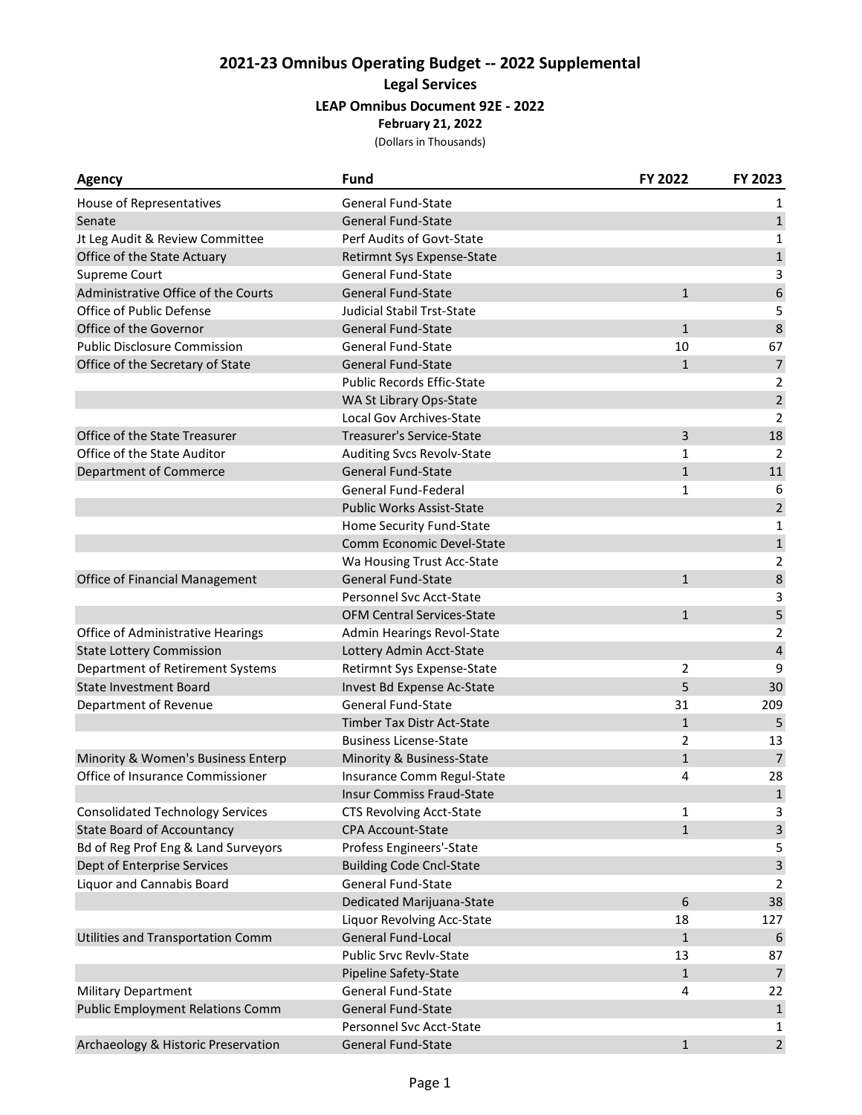## **2021-23 Omnibus Operating Budget -- 2022 Supplemental Legal Services LEAP Omnibus Document 92E - 2022 February 21, 2022**

(Dollars in Thousands)

| <b>Agency</b>                           | <b>Fund</b>                       | FY 2022        | FY 2023          |
|-----------------------------------------|-----------------------------------|----------------|------------------|
| House of Representatives                | <b>General Fund-State</b>         |                | 1                |
| Senate                                  | <b>General Fund-State</b>         |                | $\mathbf{1}$     |
| Jt Leg Audit & Review Committee         | Perf Audits of Govt-State         |                | 1                |
| Office of the State Actuary             | Retirmnt Sys Expense-State        |                | $\mathbf 1$      |
| Supreme Court                           | <b>General Fund-State</b>         |                | 3                |
| Administrative Office of the Courts     | <b>General Fund-State</b>         | $\mathbf{1}$   | $\boldsymbol{6}$ |
| Office of Public Defense                | <b>Judicial Stabil Trst-State</b> |                | 5                |
| Office of the Governor                  | <b>General Fund-State</b>         | $\mathbf{1}$   | $\bf 8$          |
| <b>Public Disclosure Commission</b>     | <b>General Fund-State</b>         | 10             | 67               |
| Office of the Secretary of State        | <b>General Fund-State</b>         | $\mathbf{1}$   | $\overline{7}$   |
|                                         | <b>Public Records Effic-State</b> |                | $\overline{2}$   |
|                                         | WA St Library Ops-State           |                | $\overline{2}$   |
|                                         | <b>Local Gov Archives-State</b>   |                | 2                |
| Office of the State Treasurer           | <b>Treasurer's Service-State</b>  | 3              | 18               |
| Office of the State Auditor             | Auditing Svcs Revolv-State        | 1              | 2                |
| Department of Commerce                  | <b>General Fund-State</b>         | $\mathbf{1}$   | 11               |
|                                         | <b>General Fund-Federal</b>       | 1              | 6                |
|                                         | <b>Public Works Assist-State</b>  |                | $\sqrt{2}$       |
|                                         | Home Security Fund-State          |                | 1                |
|                                         | Comm Economic Devel-State         |                | $\mathbf 1$      |
|                                         | Wa Housing Trust Acc-State        |                | 2                |
| Office of Financial Management          | <b>General Fund-State</b>         | $\mathbf{1}$   | $\,8\,$          |
|                                         | <b>Personnel Svc Acct-State</b>   |                | 3                |
|                                         | <b>OFM Central Services-State</b> | $\mathbf{1}$   | 5                |
| Office of Administrative Hearings       | Admin Hearings Revol-State        |                | 2                |
| <b>State Lottery Commission</b>         | Lottery Admin Acct-State          |                | $\sqrt{4}$       |
| Department of Retirement Systems        | Retirmnt Sys Expense-State        | $\overline{2}$ | 9                |
| <b>State Investment Board</b>           | Invest Bd Expense Ac-State        | 5              | 30               |
| Department of Revenue                   | <b>General Fund-State</b>         | 31             | 209              |
|                                         | <b>Timber Tax Distr Act-State</b> | $\mathbf{1}$   | 5                |
|                                         | <b>Business License-State</b>     | 2              | 13               |
| Minority & Women's Business Enterp      | Minority & Business-State         | $\mathbf{1}$   | $\overline{7}$   |
| Office of Insurance Commissioner        | Insurance Comm Regul-State        | 4              | 28               |
|                                         | <b>Insur Commiss Fraud-State</b>  |                | $\mathbf 1$      |
| <b>Consolidated Technology Services</b> | <b>CTS Revolving Acct-State</b>   | 1              | 3                |
| <b>State Board of Accountancy</b>       | <b>CPA Account-State</b>          | $\mathbf{1}$   | $\mathbf{3}$     |
| Bd of Reg Prof Eng & Land Surveyors     | Profess Engineers'-State          |                | 5                |
| Dept of Enterprise Services             | <b>Building Code Cncl-State</b>   |                | $\mathsf 3$      |
| Liquor and Cannabis Board               | General Fund-State                |                | 2                |
|                                         | Dedicated Marijuana-State         | 6              | 38               |
|                                         | Liquor Revolving Acc-State        | 18             | 127              |
| Utilities and Transportation Comm       | General Fund-Local                | $\mathbf{1}$   | 6                |
|                                         | <b>Public Srvc Revlv-State</b>    | 13             | 87               |
|                                         | Pipeline Safety-State             | $\mathbf{1}$   | $\overline{7}$   |
| Military Department                     | General Fund-State                | 4              | 22               |
| <b>Public Employment Relations Comm</b> | General Fund-State                |                | $\mathbf{1}$     |
|                                         | Personnel Svc Acct-State          |                | 1                |
| Archaeology & Historic Preservation     | General Fund-State                | $\mathbf{1}$   | $\overline{2}$   |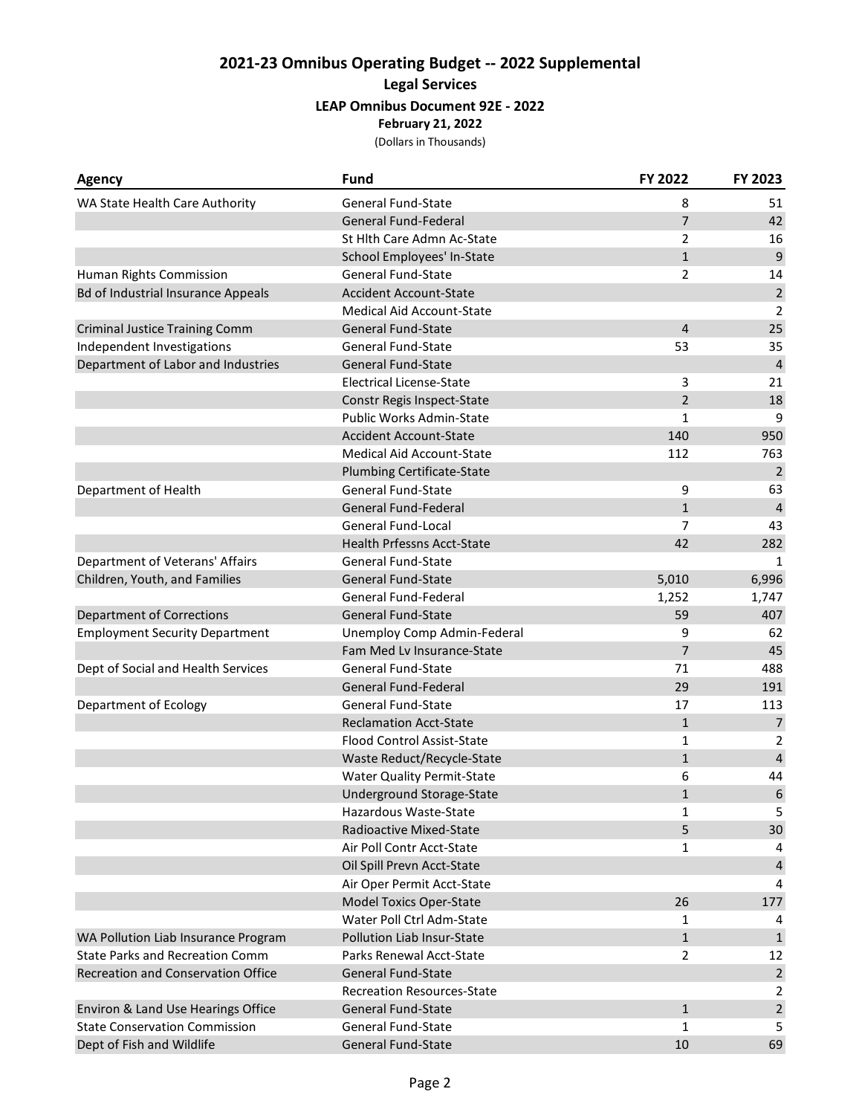## **2021-23 Omnibus Operating Budget -- 2022 Supplemental Legal Services LEAP Omnibus Document 92E - 2022 February 21, 2022**

(Dollars in Thousands)

| <b>Agency</b>                             | <b>Fund</b>                       | FY 2022        | FY 2023        |
|-------------------------------------------|-----------------------------------|----------------|----------------|
| WA State Health Care Authority            | General Fund-State                | 8              | 51             |
|                                           | <b>General Fund-Federal</b>       | $\overline{7}$ | 42             |
|                                           | St Hlth Care Admn Ac-State        | 2              | 16             |
|                                           | School Employees' In-State        | $\mathbf{1}$   | $\overline{9}$ |
| Human Rights Commission                   | General Fund-State                | 2              | 14             |
| <b>Bd of Industrial Insurance Appeals</b> | <b>Accident Account-State</b>     |                | $\sqrt{2}$     |
|                                           | Medical Aid Account-State         |                | 2              |
| <b>Criminal Justice Training Comm</b>     | General Fund-State                | $\overline{4}$ | 25             |
| Independent Investigations                | <b>General Fund-State</b>         | 53             | 35             |
| Department of Labor and Industries        | <b>General Fund-State</b>         |                | $\overline{4}$ |
|                                           | <b>Electrical License-State</b>   | 3              | 21             |
|                                           | Constr Regis Inspect-State        | $\overline{2}$ | 18             |
|                                           | Public Works Admin-State          | 1              | 9              |
|                                           | <b>Accident Account-State</b>     | 140            | 950            |
|                                           | <b>Medical Aid Account-State</b>  | 112            | 763            |
|                                           | Plumbing Certificate-State        |                | $\overline{2}$ |
| Department of Health                      | <b>General Fund-State</b>         | 9              | 63             |
|                                           | <b>General Fund-Federal</b>       | $\mathbf{1}$   | $\overline{4}$ |
|                                           | <b>General Fund-Local</b>         | 7              | 43             |
|                                           | <b>Health Prfessns Acct-State</b> | 42             | 282            |
| Department of Veterans' Affairs           | <b>General Fund-State</b>         |                | 1              |
| Children, Youth, and Families             | General Fund-State                | 5,010          | 6,996          |
|                                           | General Fund-Federal              | 1,252          | 1,747          |
| <b>Department of Corrections</b>          | <b>General Fund-State</b>         | 59             | 407            |
| <b>Employment Security Department</b>     | Unemploy Comp Admin-Federal       | 9              | 62             |
|                                           | Fam Med Lv Insurance-State        | $\overline{7}$ | 45             |
| Dept of Social and Health Services        | <b>General Fund-State</b>         | 71             | 488            |
|                                           | General Fund-Federal              | 29             | 191            |
| Department of Ecology                     | <b>General Fund-State</b>         | 17             | 113            |
|                                           | <b>Reclamation Acct-State</b>     | $\mathbf{1}$   | $\overline{7}$ |
|                                           | <b>Flood Control Assist-State</b> | 1              | 2              |
|                                           | Waste Reduct/Recycle-State        | $\mathbf{1}$   | $\sqrt{4}$     |
|                                           | <b>Water Quality Permit-State</b> | 6              | 44             |
|                                           | Underground Storage-State         | $\mathbf{1}$   | 6              |
|                                           | Hazardous Waste-State             | 1              | 5              |
|                                           | Radioactive Mixed-State           | 5              | 30             |
|                                           | Air Poll Contr Acct-State         | 1              | 4              |
|                                           | Oil Spill Prevn Acct-State        |                | $\sqrt{4}$     |
|                                           | Air Oper Permit Acct-State        |                | 4              |
|                                           | <b>Model Toxics Oper-State</b>    | 26             | 177            |
|                                           | Water Poll Ctrl Adm-State         | 1              | 4              |
| WA Pollution Liab Insurance Program       | <b>Pollution Liab Insur-State</b> | $\mathbf{1}$   | $\mathbf 1$    |
| <b>State Parks and Recreation Comm</b>    | Parks Renewal Acct-State          | $\overline{2}$ | 12             |
| Recreation and Conservation Office        | <b>General Fund-State</b>         |                | $\mathbf 2$    |
|                                           | <b>Recreation Resources-State</b> |                | $\overline{2}$ |
| Environ & Land Use Hearings Office        | <b>General Fund-State</b>         | $\mathbf{1}$   | $\sqrt{2}$     |
| <b>State Conservation Commission</b>      | General Fund-State                | 1              | 5              |
| Dept of Fish and Wildlife                 | General Fund-State                | 10             | 69             |